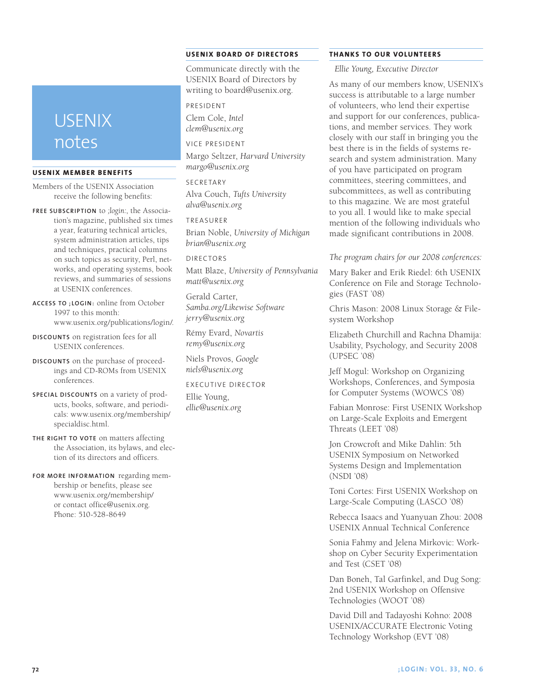# USENIX notes

### **USENIX Member Benefits**

Members of the USENIX Association receive the following benefits:

- **Free subscrip tion** to *;login:*, the Association's magazine, published six times a year, featuring technical articles, system administration articles, tips and techniques, practical columns on such topics as security, Perl, networks, and operating systems, book reviews, and summaries of sessions at USENIX conferences.
- **Access to ;login :** online from October 1997 to this month: www.usenix.org/publications/login/.
- **Discounts** on registration fees for all USENIX conferences.
- **Discounts** on the purchase of proceedings and CD-ROMs from USENIX conferences.
- **Special discounts** on a variety of products, books, software, and periodicals: www.usenix.org/membership/ specialdisc.html.
- **The right to vote** on matters affecting the Association, its bylaws, and election of its directors and officers.
- **For more information** regarding membership or benefits, please see www.usenix.org/membership/ or contact office@usenix.org. Phone: 510-528-8649

# **USENIX Boa rd of Directors**

Communicate directly with the USENIX Board of Directors by writing to board@usenix.org.

## President

Clem Cole, *Intel clem@usenix.org*

Vice President Margo Seltzer, *Harvard University margo@usenix.org*

**SECRETARY** Alva Couch, *Tufts University alva@usenix.org*

Treasurer Brian Noble, *University of Michigan brian@usenix.org*

Directors Matt Blaze, *University of Pennsylvania matt@usenix.org*

Gerald Carter, *Samba.org/Likewise Software jerry@usenix.org*

Rémy Evard, *Novartis remy@usenix.org*

Niels Provos, *Google niels@usenix.org*

#### Executive Director

Ellie Young, *ellie@usenix.org*

# **Thanks to Our Volunteers**

*Ellie Young, Executive Director*

As many of our members know, USENIX's success is attributable to a large number of volunteers, who lend their expertise and support for our conferences, publications, and member services. They work closely with our staff in bringing you the best there is in the fields of systems research and system administration. Many of you have participated on program committees, steering committees, and subcommittees, as well as contributing to this magazine. We are most grateful to you all. I would like to make special mention of the following individuals who made significant contributions in 2008.

#### *The program chairs for our 2008 conferences:*

Mary Baker and Erik Riedel: 6th USENIX Conference on File and Storage Technologies (FAST '08)

Chris Mason: 2008 Linux Storage & Filesystem Workshop

Elizabeth Churchill and Rachna Dhamija: Usability, Psychology, and Security 2008 (UPSEC '08)

Jeff Mogul: Workshop on Organizing Workshops, Conferences, and Symposia for Computer Systems (WOWCS '08)

Fabian Monrose: First USENIX Workshop on Large-Scale Exploits and Emergent Threats (LEET '08)

Jon Crowcroft and Mike Dahlin: 5th USENIX Symposium on Networked Systems Design and Implementation (NSDI '08)

Toni Cortes: First USENIX Workshop on Large-Scale Computing (LASCO '08)

Rebecca Isaacs and Yuanyuan Zhou: 2008 USENIX Annual Technical Conference

Sonia Fahmy and Jelena Mirkovic: Workshop on Cyber Security Experimentation and Test (CSET '08)

Dan Boneh, Tal Garfinkel, and Dug Song: 2nd USENIX Workshop on Offensive Technologies (WOOT '08)

David Dill and Tadayoshi Kohno: 2008 USENIX/ACCURATE Electronic Voting Technology Workshop (EVT '08)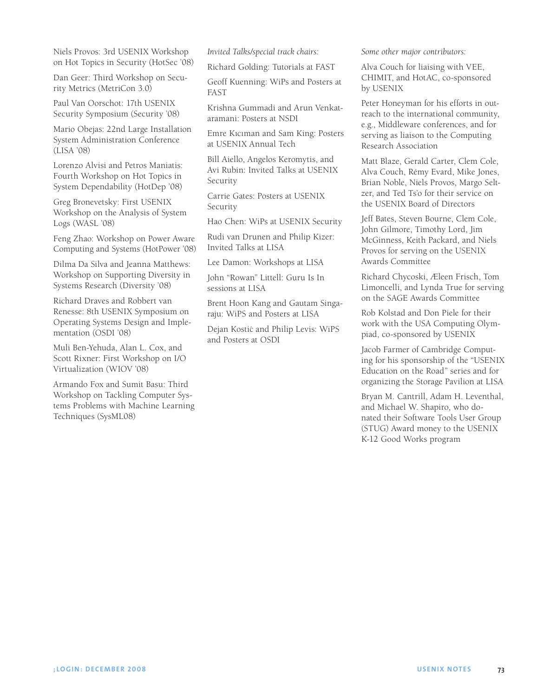Niels Provos: 3rd USENIX Workshop on Hot Topics in Security (HotSec '08)

Dan Geer: Third Workshop on Security Metrics (MetriCon 3.0)

Paul Van Oorschot: 17th USENIX Security Symposium (Security '08)

Mario Obejas: 22nd Large Installation System Administration Conference (LISA '08)

Lorenzo Alvisi and Petros Maniatis: Fourth Workshop on Hot Topics in System Dependability (HotDep '08)

Greg Bronevetsky: First USENIX Workshop on the Analysis of System Logs (WASL '08)

Feng Zhao: Workshop on Power Aware Computing and Systems (HotPower '08)

Dilma Da Silva and Jeanna Matthews: Workshop on Supporting Diversity in Systems Research (Diversity '08)

Richard Draves and Robbert van Renesse: 8th USENIX Symposium on Operating Systems Design and Implementation (OSDI '08)

Muli Ben-Yehuda, Alan L. Cox, and Scott Rixner: First Workshop on I/O Virtualization (WIOV '08)

Armando Fox and Sumit Basu: Third Workshop on Tackling Computer Systems Problems with Machine Learning Techniques (SysML08)

*Invited Talks/special track chairs:*

Richard Golding: Tutorials at FAST

Geoff Kuenning: WiPs and Posters at FAST

Krishna Gummadi and Arun Venkataramani: Posters at NSDI

Emre Kıcıman and Sam King: Posters at USENIX Annual Tech

Bill Aiello, Angelos Keromytis, and Avi Rubin: Invited Talks at USENIX Security

Carrie Gates: Posters at USENIX Security

Hao Chen: WiPs at USENIX Security

Rudi van Drunen and Philip Kizer: Invited Talks at LISA

Lee Damon: Workshops at LISA

John "Rowan" Littell: Guru Is In sessions at LISA

Brent Hoon Kang and Gautam Singaraju: WiPS and Posters at LISA

Dejan Kostić and Philip Levis: WiPS and Posters at OSDI

*Some other major contributors:*

Alva Couch for liaising with VEE, CHIMIT, and HotAC, co-sponsored by USENIX

Peter Honeyman for his efforts in outreach to the international community, e.g., Middleware conferences, and for serving as liaison to the Computing Research Association

Matt Blaze, Gerald Carter, Clem Cole, Alva Couch, Rémy Evard, Mike Jones, Brian Noble, Niels Provos, Margo Seltzer, and Ted Ts'o for their service on the USENIX Board of Directors

Jeff Bates, Steven Bourne, Clem Cole, John Gilmore, Timothy Lord, Jim McGinness, Keith Packard, and Niels Provos for serving on the USENIX Awards Committee

Richard Chycoski, Æleen Frisch, Tom Limoncelli, and Lynda True for serving on the SAGE Awards Committee

Rob Kolstad and Don Piele for their work with the USA Computing Olympiad, co-sponsored by USENIX

Jacob Farmer of Cambridge Computing for his sponsorship of the "USENIX Education on the Road" series and for organizing the Storage Pavilion at LISA

Bryan M. Cantrill, Adam H. Leventhal, and Michael W. Shapiro, who donated their Software Tools User Group (STUG) Award money to the USENIX K-12 Good Works program